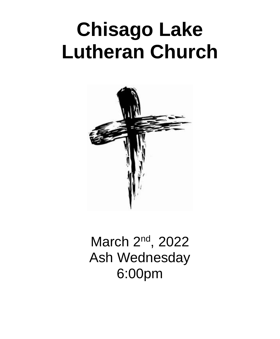# **Chisago Lake Lutheran Church**



March 2<sup>nd</sup>, 2022 Ash Wednesday 6:00pm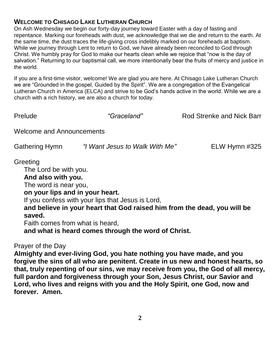### **WELCOME TO CHISAGO LAKE LUTHERAN CHURCH**

On Ash Wednesday we begin our forty-day journey toward Easter with a day of fasting and repentance. Marking our foreheads with dust, we acknowledge that we die and return to the earth. At the same time, the dust traces the life-giving cross indelibly marked on our foreheads at baptism. While we journey through Lent to return to God, we have already been reconciled to God through Christ. We humbly pray for God to make our hearts clean while we rejoice that "now is the day of salvation." Returning to our baptismal call, we more intentionally bear the fruits of mercy and justice in the world.

If you are a first-time visitor, welcome! We are glad you are here. At Chisago Lake Lutheran Church we are "Grounded in the gospel, Guided by the Spirit". We are a congregation of the Evangelical Lutheran Church in America (ELCA) and strive to be God's hands active in the world. While we are a church with a rich history, we are also a church for today.

Prelude *"Graceland"* Rod Strenke and Nick Barr

Welcome and Announcements

| <b>Gathering Hymn</b> | "I Want Jesus to Walk With Me" | ELW Hymn #325 |
|-----------------------|--------------------------------|---------------|
|                       |                                |               |

#### **Greeting**

The Lord be with you. **And also with you.** The word is near you, **on your lips and in your heart.** If you confess with your lips that Jesus is Lord, **and believe in your heart that God raised him from the dead, you will be saved.** Faith comes from what is heard,

**and what is heard comes through the word of Christ.**

#### Prayer of the Day

**Almighty and ever-living God, you hate nothing you have made, and you forgive the sins of all who are penitent. Create in us new and honest hearts, so that, truly repenting of our sins, we may receive from you, the God of all mercy, full pardon and forgiveness through your Son, Jesus Christ, our Savior and Lord, who lives and reigns with you and the Holy Spirit, one God, now and forever. Amen.**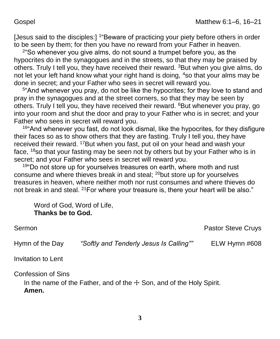[Jesus said to the disciples:] <sup>1</sup> Beware of practicing your piety before others in order to be seen by them; for then you have no reward from your Father in heaven.

2 "So whenever you give alms, do not sound a trumpet before you, as the hypocrites do in the synagogues and in the streets, so that they may be praised by others. Truly I tell you, they have received their reward.  $3$ But when you give alms, do not let your left hand know what your right hand is doing, <sup>4</sup>so that your alms may be done in secret; and your Father who sees in secret will reward you.

5 "And whenever you pray, do not be like the hypocrites; for they love to stand and pray in the synagogues and at the street corners, so that they may be seen by others. Truly I tell you, they have received their reward. <sup>6</sup>But whenever you pray, go into your room and shut the door and pray to your Father who is in secret; and your Father who sees in secret will reward you.

<sup>16"</sup>And whenever you fast, do not look dismal, like the hypocrites, for they disfigure their faces so as to show others that they are fasting. Truly I tell you, they have received their reward. <sup>17</sup>But when you fast, put oil on your head and wash your face, <sup>18</sup>so that your fasting may be seen not by others but by your Father who is in secret; and your Father who sees in secret will reward you.

 $19^{\circ}$ Do not store up for yourselves treasures on earth, where moth and rust consume and where thieves break in and steal; <sup>20</sup>but store up for yourselves treasures in heaven, where neither moth nor rust consumes and where thieves do not break in and steal. <sup>21</sup> For where your treasure is, there your heart will be also."

Word of God, Word of Life, **Thanks be to God.**

Sermon **Pastor Steve Cruys** Sermon **Pastor Steve Cruys** 

Hymn of the Day *"Softly and Tenderly Jesus Is Calling""* ELW Hymn #608

Invitation to Lent

Confession of Sins

In the name of the Father, and of the  $+$  Son, and of the Holy Spirit. **Amen.**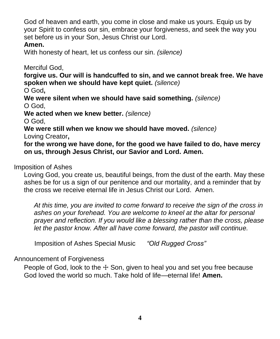God of heaven and earth, you come in close and make us yours. Equip us by your Spirit to confess our sin, embrace your forgiveness, and seek the way you set before us in your Son, Jesus Christ our Lord.

#### **Amen.**

With honesty of heart, let us confess our sin. *(silence)*

Merciful God,

**forgive us. Our will is handcuffed to sin, and we cannot break free. We have spoken when we should have kept quiet.** *(silence)*

O God**,** 

**We were silent when we should have said something.** *(silence)* O God,

**We acted when we knew better.** *(silence)*

O God,

**We were still when we know we should have moved.** *(silence)*

Loving Creator**,** 

**for the wrong we have done, for the good we have failed to do, have mercy on us, through Jesus Christ, our Savior and Lord. Amen.**

# Imposition of Ashes

Loving God, you create us, beautiful beings, from the dust of the earth. May these ashes be for us a sign of our penitence and our mortality, and a reminder that by the cross we receive eternal life in Jesus Christ our Lord. Amen.

*At this time, you are invited to come forward to receive the sign of the cross in ashes on your forehead. You are welcome to kneel at the altar for personal prayer and reflection. If you would like a blessing rather than the cross, please let the pastor know. After all have come forward, the pastor will continue.*

Imposition of Ashes Special Music *"Old Rugged Cross"*

Announcement of Forgiveness

People of God, look to the  $+$  Son, given to heal you and set you free because God loved the world so much. Take hold of life—eternal life! **Amen.**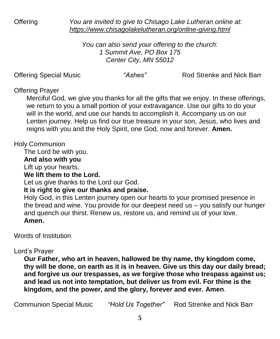Offering *You are invited to give to Chisago Lake Lutheran online at: <https://www.chisagolakelutheran.org/online-giving.html>*

> *You can also send your offering to the church: 1 Summit Ave, PO Box 175 Center City, MN 55012*

Offering Special Music *"Ashes"* Rod Strenke and Nick Barr

#### Offering Prayer

Merciful God, we give you thanks for all the gifts that we enjoy. In these offerings, we return to you a small portion of your extravagance. Use our gifts to do your will in the world, and use our hands to accomplish it. Accompany us on our Lenten journey. Help us find our true treasure in your son, Jesus, who lives and reigns with you and the Holy Spirit, one God, now and forever. **Amen.**

# Holy Communion

The Lord be with you.

#### **And also with you**

Lift up your hearts,

**We lift them to the Lord.**

Let us give thanks to the Lord our God.

**It is right to give our thanks and praise.**

Holy God, in this Lenten journey open our hearts to your promised presence in the bread and wine. You provide for our deepest need us – you satisfy our hunger and quench our thirst. Renew us, restore us, and remind us of your love. **Amen.**

Words of Institution

# Lord's Prayer

**Our Father, who art in heaven, hallowed be thy name, thy kingdom come, thy will be done, on earth as it is in heaven. Give us this day our daily bread; and forgive us our trespasses, as we forgive those who trespass against us; and lead us not into temptation, but deliver us from evil. For thine is the kingdom, and the power, and the glory, forever and ever. Amen**.

Communion Special Music *"Hold Us Together"* Rod Strenke and Nick Barr